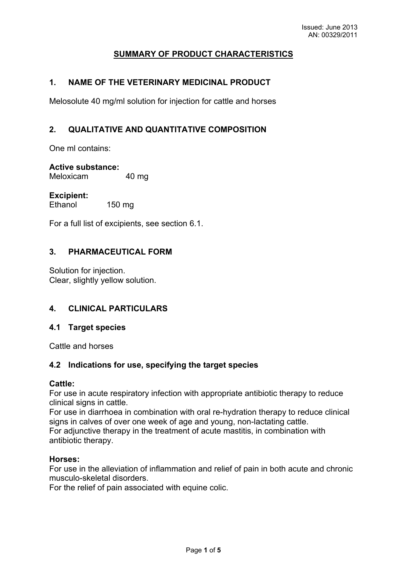# **SUMMARY OF PRODUCT CHARACTERISTICS**

# **1. NAME OF THE VETERINARY MEDICINAL PRODUCT**

Melosolute 40 mg/ml solution for injection for cattle and horses

# **2. QUALITATIVE AND QUANTITATIVE COMPOSITION**

One ml contains:

#### **Active substance:**

Meloxicam 40 mg

#### **Excipient:**

Ethanol 150 mg

For a full list of excipients, see section 6.1.

#### **3. PHARMACEUTICAL FORM**

Solution for injection. Clear, slightly yellow solution.

## **4. CLINICAL PARTICULARS**

## **4.1 Target species**

Cattle and horses

## **4.2 Indications for use, specifying the target species**

#### **Cattle:**

For use in acute respiratory infection with appropriate antibiotic therapy to reduce clinical signs in cattle.

For use in diarrhoea in combination with oral re-hydration therapy to reduce clinical signs in calves of over one week of age and young, non-lactating cattle. For adjunctive therapy in the treatment of acute mastitis, in combination with antibiotic therapy.

#### **Horses:**

For use in the alleviation of inflammation and relief of pain in both acute and chronic musculo-skeletal disorders.

For the relief of pain associated with equine colic.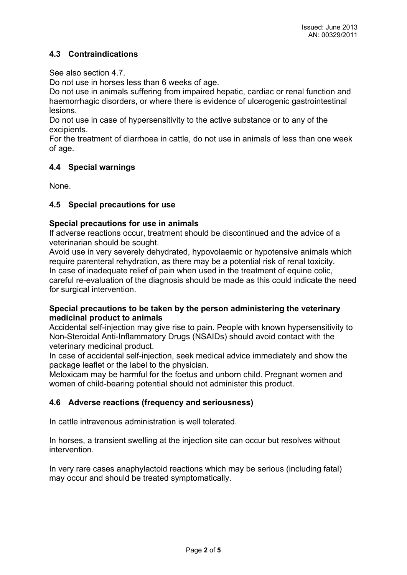# **4.3 Contraindications**

See also section 4.7

Do not use in horses less than 6 weeks of age.

Do not use in animals suffering from impaired hepatic, cardiac or renal function and haemorrhagic disorders, or where there is evidence of ulcerogenic gastrointestinal lesions.

Do not use in case of hypersensitivity to the active substance or to any of the excipients.

For the treatment of diarrhoea in cattle, do not use in animals of less than one week of age.

## **4.4 Special warnings**

None.

# **4.5 Special precautions for use**

## **Special precautions for use in animals**

If adverse reactions occur, treatment should be discontinued and the advice of a veterinarian should be sought.

Avoid use in very severely dehydrated, hypovolaemic or hypotensive animals which require parenteral rehydration, as there may be a potential risk of renal toxicity. In case of inadequate relief of pain when used in the treatment of equine colic, careful re-evaluation of the diagnosis should be made as this could indicate the need for surgical intervention.

## **Special precautions to be taken by the person administering the veterinary medicinal product to animals**

Accidental self-injection may give rise to pain. People with known hypersensitivity to Non-Steroidal Anti-Inflammatory Drugs (NSAIDs) should avoid contact with the veterinary medicinal product.

In case of accidental self-injection, seek medical advice immediately and show the package leaflet or the label to the physician.

Meloxicam may be harmful for the foetus and unborn child. Pregnant women and women of child-bearing potential should not administer this product.

## **4.6 Adverse reactions (frequency and seriousness)**

In cattle intravenous administration is well tolerated.

In horses, a transient swelling at the injection site can occur but resolves without intervention.

In very rare cases anaphylactoid reactions which may be serious (including fatal) may occur and should be treated symptomatically.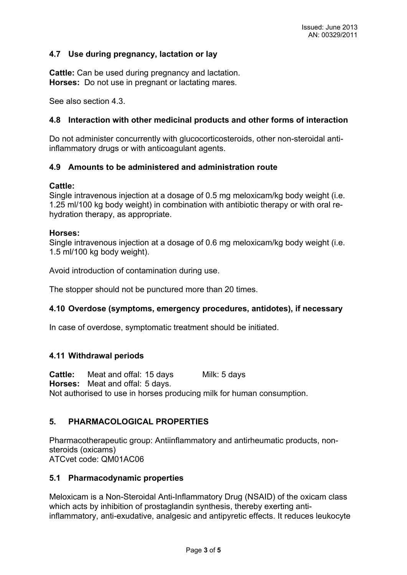## **4.7 Use during pregnancy, lactation or lay**

**Cattle:** Can be used during pregnancy and lactation. **Horses:** Do not use in pregnant or lactating mares.

See also section 4.3.

#### **4.8 Interaction with other medicinal products and other forms of interaction**

Do not administer concurrently with glucocorticosteroids, other non-steroidal antiinflammatory drugs or with anticoagulant agents.

#### **4.9 Amounts to be administered and administration route**

#### **Cattle:**

Single intravenous injection at a dosage of 0.5 mg meloxicam/kg body weight (i.e. 1.25 ml/100 kg body weight) in combination with antibiotic therapy or with oral rehydration therapy, as appropriate.

#### **Horses:**

Single intravenous injection at a dosage of 0.6 mg meloxicam/kg body weight (i.e. 1.5 ml/100 kg body weight).

Avoid introduction of contamination during use.

The stopper should not be punctured more than 20 times.

## **4.10 Overdose (symptoms, emergency procedures, antidotes), if necessary**

In case of overdose, symptomatic treatment should be initiated.

## **4.11 Withdrawal periods**

**Cattle:** Meat and offal: 15 days Milk: 5 days **Horses:** Meat and offal: 5 days. Not authorised to use in horses producing milk for human consumption.

## **5. PHARMACOLOGICAL PROPERTIES**

Pharmacotherapeutic group: Antiinflammatory and antirheumatic products, nonsteroids (oxicams) ATCvet code: QM01AC06

#### **5.1 Pharmacodynamic properties**

Meloxicam is a Non-Steroidal Anti-Inflammatory Drug (NSAID) of the oxicam class which acts by inhibition of prostaglandin synthesis, thereby exerting antiinflammatory, anti-exudative, analgesic and antipyretic effects. It reduces leukocyte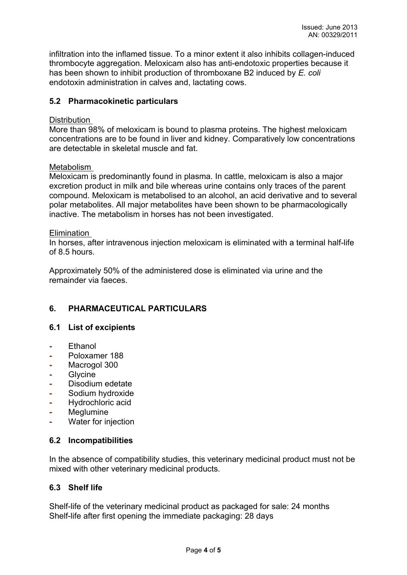infiltration into the inflamed tissue. To a minor extent it also inhibits collagen-induced thrombocyte aggregation. Meloxicam also has anti-endotoxic properties because it has been shown to inhibit production of thromboxane B2 induced by *E. coli*  endotoxin administration in calves and, lactating cows.

# **5.2 Pharmacokinetic particulars**

#### Distribution

More than 98% of meloxicam is bound to plasma proteins. The highest meloxicam concentrations are to be found in liver and kidney. Comparatively low concentrations are detectable in skeletal muscle and fat.

#### Metabolism

Meloxicam is predominantly found in plasma. In cattle, meloxicam is also a major excretion product in milk and bile whereas urine contains only traces of the parent compound. Meloxicam is metabolised to an alcohol, an acid derivative and to several polar metabolites. All major metabolites have been shown to be pharmacologically inactive. The metabolism in horses has not been investigated.

#### Elimination

In horses, after intravenous injection meloxicam is eliminated with a terminal half-life of 8.5 hours.

Approximately 50% of the administered dose is eliminated via urine and the remainder via faeces.

# **6. PHARMACEUTICAL PARTICULARS**

## **6.1 List of excipients**

- **-** Ethanol
- **-** Poloxamer 188
- **-** Macrogol 300
- **-** Glycine
- **-** Disodium edetate
- **-** Sodium hydroxide
- **-** Hydrochloric acid
- **-** Meglumine
- **-** Water for injection

## **6.2 Incompatibilities**

In the absence of compatibility studies, this veterinary medicinal product must not be mixed with other veterinary medicinal products.

#### **6.3 Shelf life**

Shelf-life of the veterinary medicinal product as packaged for sale: 24 months Shelf-life after first opening the immediate packaging: 28 days